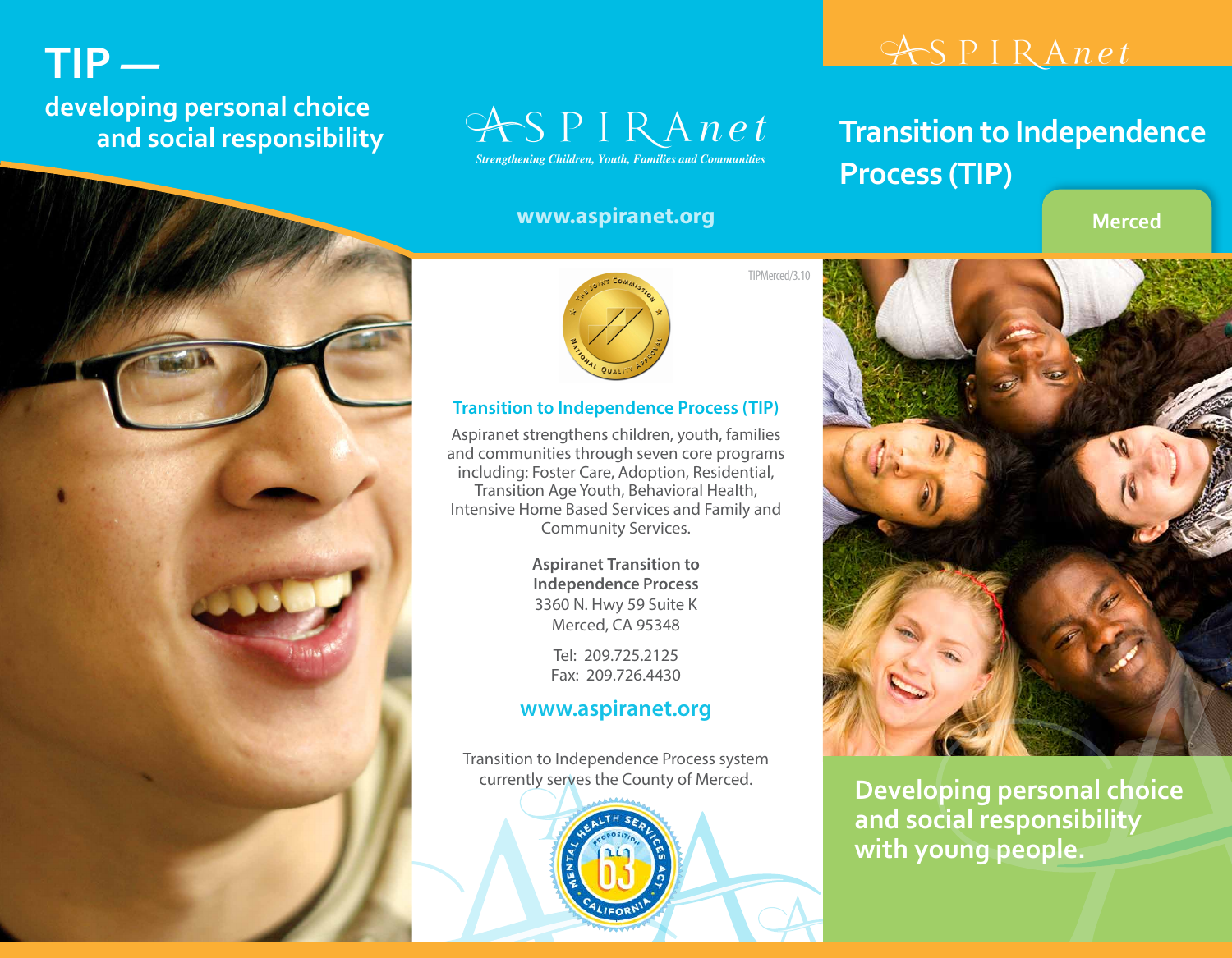## **TIP** **developing personal choice and social responsibility**



### **www.aspiranet.org Merced**

# ASPIRAnet

# **Transition to Independence Process (TIP)**





#### **Transition to Independence Process (TIP)**

Aspiranet strengthens children, youth, families and communities through seven core programs including: Foster Care, Adoption, Residential, Transition Age Youth, Behavioral Health, Intensive Home Based Services and Family and Community Services.

> **Aspiranet Transition to Independence Process** 3360 N. Hwy 59 Suite K Merced, CA 95348

> > Tel: 209.725.2125 Fax: 209.726.4430

### **www.aspiranet.org**

Transition to Independence Process system currently serves the County of Merced.



**Developing personal choice and social responsibility with young people.**